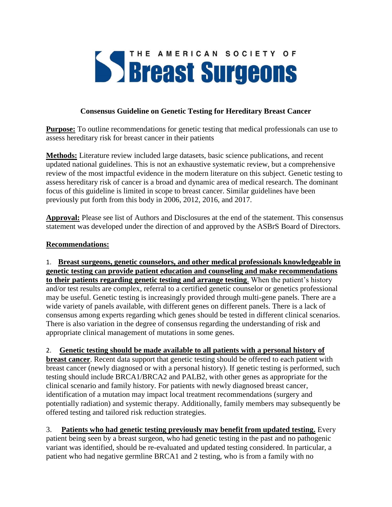

## **Consensus Guideline on Genetic Testing for Hereditary Breast Cancer**

**Purpose:** To outline recommendations for genetic testing that medical professionals can use to assess hereditary risk for breast cancer in their patients

**Methods:** Literature review included large datasets, basic science publications, and recent updated national guidelines. This is not an exhaustive systematic review, but a comprehensive review of the most impactful evidence in the modern literature on this subject. Genetic testing to assess hereditary risk of cancer is a broad and dynamic area of medical research. The dominant focus of this guideline is limited in scope to breast cancer. Similar guidelines have been previously put forth from this body in 2006, 2012, 2016, and 2017.

**Approval:** Please see list of Authors and Disclosures at the end of the statement. This consensus statement was developed under the direction of and approved by the ASBrS Board of Directors.

## **Recommendations:**

1. **Breast surgeons, genetic counselors, and other medical professionals knowledgeable in genetic testing can provide patient education and counseling and make recommendations to their patients regarding genetic testing and arrange testing**. When the patient's history and/or test results are complex, referral to a certified genetic counselor or genetics professional may be useful. Genetic testing is increasingly provided through multi-gene panels. There are a wide variety of panels available, with different genes on different panels. There is a lack of consensus among experts regarding which genes should be tested in different clinical scenarios. There is also variation in the degree of consensus regarding the understanding of risk and appropriate clinical management of mutations in some genes.

2. **Genetic testing should be made available to all patients with a personal history of breast cancer**. Recent data support that genetic testing should be offered to each patient with breast cancer (newly diagnosed or with a personal history). If genetic testing is performed, such testing should include BRCA1/BRCA2 and PALB2, with other genes as appropriate for the clinical scenario and family history. For patients with newly diagnosed breast cancer, identification of a mutation may impact local treatment recommendations (surgery and potentially radiation) and systemic therapy. Additionally, family members may subsequently be offered testing and tailored risk reduction strategies.

3. **Patients who had genetic testing previously may benefit from updated testing.** Every patient being seen by a breast surgeon, who had genetic testing in the past and no pathogenic variant was identified, should be re-evaluated and updated testing considered. In particular, a patient who had negative germline BRCA1 and 2 testing, who is from a family with no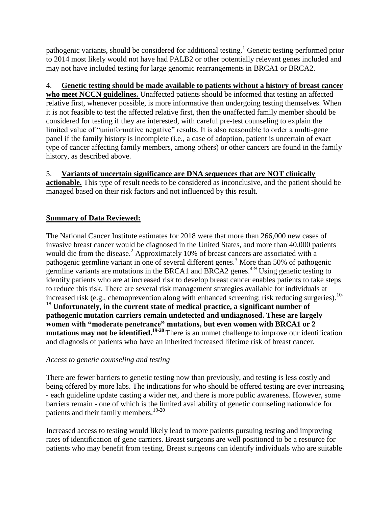pathogenic variants, should be considered for additional testing.<sup>1</sup> Genetic testing performed prior to 2014 most likely would not have had PALB2 or other potentially relevant genes included and may not have included testing for large genomic rearrangements in BRCA1 or BRCA2.

4. **Genetic testing should be made available to patients without a history of breast cancer who meet NCCN guidelines.** Unaffected patients should be informed that testing an affected relative first, whenever possible, is more informative than undergoing testing themselves. When it is not feasible to test the affected relative first, then the unaffected family member should be considered for testing if they are interested, with careful pre-test counseling to explain the limited value of "uninformative negative" results. It is also reasonable to order a multi-gene panel if the family history is incomplete (i.e., a case of adoption, patient is uncertain of exact type of cancer affecting family members, among others) or other cancers are found in the family history, as described above.

### 5. **Variants of uncertain significance are DNA sequences that are NOT clinically actionable.** This type of result needs to be considered as inconclusive, and the patient should be

managed based on their risk factors and not influenced by this result.

# **Summary of Data Reviewed:**

The National Cancer Institute estimates for 2018 were that more than 266,000 new cases of invasive breast cancer would be diagnosed in the United States, and more than 40,000 patients would die from the disease.<sup>2</sup> Approximately 10% of breast cancers are associated with a pathogenic germline variant in one of several different genes. <sup>3</sup> More than 50% of pathogenic germline variants are mutations in the BRCA1 and BRCA2 genes.<sup>4-9</sup> Using genetic testing to identify patients who are at increased risk to develop breast cancer enables patients to take steps to reduce this risk. There are several risk management strategies available for individuals at increased risk (e.g., chemoprevention along with enhanced screening; risk reducing surgeries). 10-

<sup>18</sup> **Unfortunately, in the current state of medical practice, a significant number of pathogenic mutation carriers remain undetected and undiagnosed. These are largely women with "moderate penetrance" mutations, but even women with BRCA1 or 2 mutations may not be identified.** <sup>19-20</sup> There is an unmet challenge to improve our identification and diagnosis of patients who have an inherited increased lifetime risk of breast cancer.

## *Access to genetic counseling and testing*

There are fewer barriers to genetic testing now than previously, and testing is less costly and being offered by more labs. The indications for who should be offered testing are ever increasing - each guideline update casting a wider net, and there is more public awareness. However, some barriers remain - one of which is the limited availability of genetic counseling nationwide for patients and their family members. 19-20

Increased access to testing would likely lead to more patients pursuing testing and improving rates of identification of gene carriers. Breast surgeons are well positioned to be a resource for patients who may benefit from testing. Breast surgeons can identify individuals who are suitable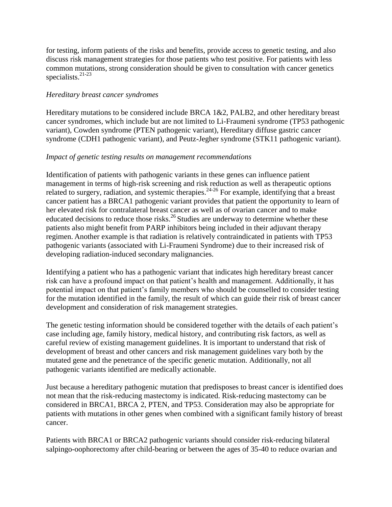for testing, inform patients of the risks and benefits, provide access to genetic testing, and also discuss risk management strategies for those patients who test positive. For patients with less common mutations, strong consideration should be given to consultation with cancer genetics specialists. 21-23

## *Hereditary breast cancer syndromes*

Hereditary mutations to be considered include BRCA 1&2, PALB2, and other hereditary breast cancer syndromes, which include but are not limited to Li-Fraumeni syndrome (TP53 pathogenic variant), Cowden syndrome (PTEN pathogenic variant), Hereditary diffuse gastric cancer syndrome (CDH1 pathogenic variant), and Peutz-Jegher syndrome (STK11 pathogenic variant).

### *Impact of genetic testing results on management recommendations*

Identification of patients with pathogenic variants in these genes can influence patient management in terms of high-risk screening and risk reduction as well as therapeutic options related to surgery, radiation, and systemic therapies.<sup>24-26</sup> For example, identifying that a breast cancer patient has a BRCA1 pathogenic variant provides that patient the opportunity to learn of her elevated risk for contralateral breast cancer as well as of ovarian cancer and to make educated decisions to reduce those risks.<sup>26</sup> Studies are underway to determine whether these patients also might benefit from PARP inhibitors being included in their adjuvant therapy regimen. Another example is that radiation is relatively contraindicated in patients with TP53 pathogenic variants (associated with Li-Fraumeni Syndrome) due to their increased risk of developing radiation-induced secondary malignancies.

Identifying a patient who has a pathogenic variant that indicates high hereditary breast cancer risk can have a profound impact on that patient's health and management. Additionally, it has potential impact on that patient's family members who should be counselled to consider testing for the mutation identified in the family, the result of which can guide their risk of breast cancer development and consideration of risk management strategies.

The genetic testing information should be considered together with the details of each patient's case including age, family history, medical history, and contributing risk factors, as well as careful review of existing management guidelines. It is important to understand that risk of development of breast and other cancers and risk management guidelines vary both by the mutated gene and the penetrance of the specific genetic mutation. Additionally, not all pathogenic variants identified are medically actionable.

Just because a hereditary pathogenic mutation that predisposes to breast cancer is identified does not mean that the risk-reducing mastectomy is indicated. Risk-reducing mastectomy can be considered in BRCA1, BRCA 2, PTEN, and TP53. Consideration may also be appropriate for patients with mutations in other genes when combined with a significant family history of breast cancer.

Patients with BRCA1 or BRCA2 pathogenic variants should consider risk-reducing bilateral salpingo-oophorectomy after child-bearing or between the ages of 35-40 to reduce ovarian and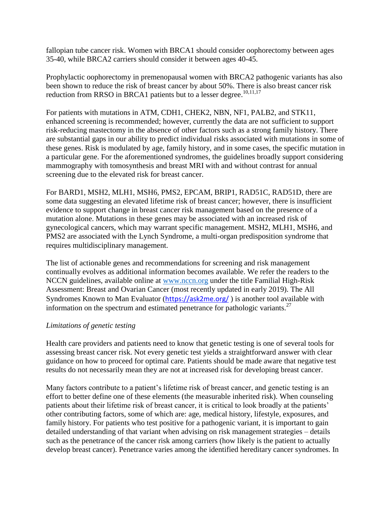fallopian tube cancer risk. Women with BRCA1 should consider oophorectomy between ages 35-40, while BRCA2 carriers should consider it between ages 40-45.

Prophylactic oophorectomy in premenopausal women with BRCA2 pathogenic variants has also been shown to reduce the risk of breast cancer by about 50%. There is also breast cancer risk reduction from RRSO in BRCA1 patients but to a lesser degree.<sup>10,11,17</sup>

For patients with mutations in ATM, CDH1, CHEK2, NBN, NF1, PALB2, and STK11, enhanced screening is recommended; however, currently the data are not sufficient to support risk-reducing mastectomy in the absence of other factors such as a strong family history. There are substantial gaps in our ability to predict individual risks associated with mutations in some of these genes. Risk is modulated by age, family history, and in some cases, the specific mutation in a particular gene. For the aforementioned syndromes, the guidelines broadly support considering mammography with tomosynthesis and breast MRI with and without contrast for annual screening due to the elevated risk for breast cancer.

For BARD1, MSH2, MLH1, MSH6, PMS2, EPCAM, BRIP1, RAD51C, RAD51D, there are some data suggesting an elevated lifetime risk of breast cancer; however, there is insufficient evidence to support change in breast cancer risk management based on the presence of a mutation alone. Mutations in these genes may be associated with an increased risk of gynecological cancers, which may warrant specific management. MSH2, MLH1, MSH6, and PMS2 are associated with the Lynch Syndrome, a multi-organ predisposition syndrome that requires multidisciplinary management.

The list of actionable genes and recommendations for screening and risk management continually evolves as additional information becomes available. We refer the readers to the NCCN guidelines, available online at [www.nccn.org](http://www.nccn.org/) under the title Familial High-Risk Assessment: Breast and Ovarian Cancer (most recently updated in early 2019). The All Syndromes Known to Man Evaluator (<https://ask2me.org/> ) is another tool available with information on the spectrum and estimated penetrance for pathologic variants.<sup>27</sup>

#### *Limitations of genetic testing*

Health care providers and patients need to know that genetic testing is one of several tools for assessing breast cancer risk. Not every genetic test yields a straightforward answer with clear guidance on how to proceed for optimal care. Patients should be made aware that negative test results do not necessarily mean they are not at increased risk for developing breast cancer.

Many factors contribute to a patient's lifetime risk of breast cancer, and genetic testing is an effort to better define one of these elements (the measurable inherited risk). When counseling patients about their lifetime risk of breast cancer, it is critical to look broadly at the patients' other contributing factors, some of which are: age, medical history, lifestyle, exposures, and family history. For patients who test positive for a pathogenic variant, it is important to gain detailed understanding of that variant when advising on risk management strategies – details such as the penetrance of the cancer risk among carriers (how likely is the patient to actually develop breast cancer). Penetrance varies among the identified hereditary cancer syndromes. In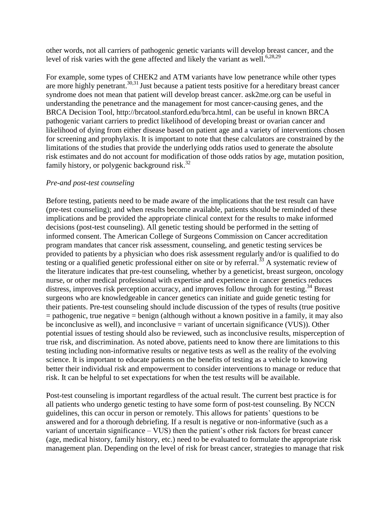other words, not all carriers of pathogenic genetic variants will develop breast cancer, and the level of risk varies with the gene affected and likely the variant as well.<sup>6,28,29</sup>

For example, some types of CHEK2 and ATM variants have low penetrance while other types are more highly penetrant.<sup>30,31</sup> Just because a patient tests positive for a hereditary breast cancer syndrome does not mean that patient will develop breast cancer. ask2me.org can be useful in understanding the penetrance and the management for most cancer-causing genes, and the BRCA Decision Tool, http://brcatool.stanford.edu/brca.html, can be useful in known BRCA pathogenic variant carriers to predict likelihood of developing breast or ovarian cancer and likelihood of dying from either disease based on patient age and a variety of interventions chosen for screening and prophylaxis. It is important to note that these calculators are constrained by the limitations of the studies that provide the underlying odds ratios used to generate the absolute risk estimates and do not account for modification of those odds ratios by age, mutation position, family history, or polygenic background risk.<sup>32</sup>

#### *Pre-and post-test counseling*

Before testing, patients need to be made aware of the implications that the test result can have (pre-test counseling); and when results become available, patients should be reminded of these implications and be provided the appropriate clinical context for the results to make informed decisions (post-test counseling). All genetic testing should be performed in the setting of informed consent. The American College of Surgeons Commission on Cancer accreditation program mandates that cancer risk assessment, counseling, and genetic testing services be provided to patients by a physician who does risk assessment regularly and/or is qualified to do testing or a qualified genetic professional either on site or by referral.<sup>33</sup> A systematic review of the literature indicates that pre-test counseling, whether by a geneticist, breast surgeon, oncology nurse, or other medical professional with expertise and experience in cancer genetics reduces distress, improves risk perception accuracy, and improves follow through for testing.<sup>34</sup> Breast surgeons who are knowledgeable in cancer genetics can initiate and guide genetic testing for their patients. Pre-test counseling should include discussion of the types of results (true positive = pathogenic, true negative = benign (although without a known positive in a family, it may also be inconclusive as well), and inconclusive = variant of uncertain significance (VUS)). Other potential issues of testing should also be reviewed, such as inconclusive results, misperception of true risk, and discrimination. As noted above, patients need to know there are limitations to this testing including non-informative results or negative tests as well as the reality of the evolving science. It is important to educate patients on the benefits of testing as a vehicle to knowing better their individual risk and empowerment to consider interventions to manage or reduce that risk. It can be helpful to set expectations for when the test results will be available.

Post-test counseling is important regardless of the actual result. The current best practice is for all patients who undergo genetic testing to have some form of post-test counseling. By NCCN guidelines, this can occur in person or remotely. This allows for patients' questions to be answered and for a thorough debriefing. If a result is negative or non-informative (such as a variant of uncertain significance – VUS) then the patient's other risk factors for breast cancer (age, medical history, family history, etc.) need to be evaluated to formulate the appropriate risk management plan. Depending on the level of risk for breast cancer, strategies to manage that risk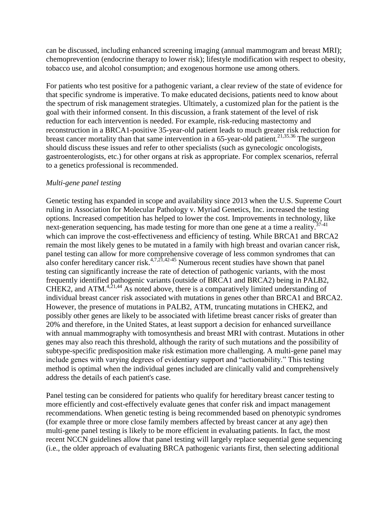can be discussed, including enhanced screening imaging (annual mammogram and breast MRI); chemoprevention (endocrine therapy to lower risk); lifestyle modification with respect to obesity, tobacco use, and alcohol consumption; and exogenous hormone use among others.

For patients who test positive for a pathogenic variant, a clear review of the state of evidence for that specific syndrome is imperative. To make educated decisions, patients need to know about the spectrum of risk management strategies. Ultimately, a customized plan for the patient is the goal with their informed consent. In this discussion, a frank statement of the level of risk reduction for each intervention is needed. For example, risk-reducing mastectomy and reconstruction in a BRCA1-positive 35-year-old patient leads to much greater risk reduction for breast cancer mortality than that same intervention in a 65-year-old patient.<sup>21,35.36</sup> The surgeon should discuss these issues and refer to other specialists (such as gynecologic oncologists, gastroenterologists, etc.) for other organs at risk as appropriate. For complex scenarios, referral to a genetics professional is recommended.

#### *Multi-gene panel testing*

Genetic testing has expanded in scope and availability since 2013 when the U.S. Supreme Court ruling in Association for Molecular Pathology v. Myriad Genetics, Inc. increased the testing options. Increased competition has helped to lower the cost. Improvements in technology, like next-generation sequencing, has made testing for more than one gene at a time a reality.<sup>37-41</sup> which can improve the cost-effectiveness and efficiency of testing. While BRCA1 and BRCA2 remain the most likely genes to be mutated in a family with high breast and ovarian cancer risk, panel testing can allow for more comprehensive coverage of less common syndromes that can also confer hereditary cancer risk.<sup>4,7,21,42-45</sup> Numerous recent studies have shown that panel testing can significantly increase the rate of detection of pathogenic variants, with the most frequently identified pathogenic variants (outside of BRCA1 and BRCA2) being in PALB2, CHEK2, and ATM. $4,21,44$  As noted above, there is a comparatively limited understanding of individual breast cancer risk associated with mutations in genes other than BRCA1 and BRCA2. However, the presence of mutations in PALB2, ATM, truncating mutations in CHEK2, and possibly other genes are likely to be associated with lifetime breast cancer risks of greater than 20% and therefore, in the United States, at least support a decision for enhanced surveillance with annual mammography with tomosynthesis and breast MRI with contrast. Mutations in other genes may also reach this threshold, although the rarity of such mutations and the possibility of subtype-specific predisposition make risk estimation more challenging. A multi-gene panel may include genes with varying degrees of evidentiary support and "actionability." This testing method is optimal when the individual genes included are clinically valid and comprehensively address the details of each patient's case.

Panel testing can be considered for patients who qualify for hereditary breast cancer testing to more efficiently and cost-effectively evaluate genes that confer risk and impact management recommendations. When genetic testing is being recommended based on phenotypic syndromes (for example three or more close family members affected by breast cancer at any age) then multi-gene panel testing is likely to be more efficient in evaluating patients. In fact, the most recent NCCN guidelines allow that panel testing will largely replace sequential gene sequencing (i.e., the older approach of evaluating BRCA pathogenic variants first, then selecting additional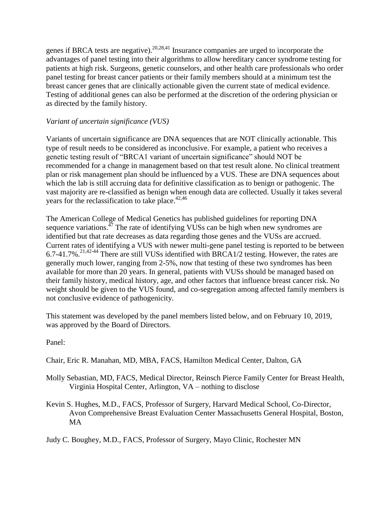genes if BRCA tests are negative).  $20,28,41$  Insurance companies are urged to incorporate the advantages of panel testing into their algorithms to allow hereditary cancer syndrome testing for patients at high risk. Surgeons, genetic counselors, and other health care professionals who order panel testing for breast cancer patients or their family members should at a minimum test the breast cancer genes that are clinically actionable given the current state of medical evidence. Testing of additional genes can also be performed at the discretion of the ordering physician or as directed by the family history.

## *Variant of uncertain significance (VUS)*

Variants of uncertain significance are DNA sequences that are NOT clinically actionable. This type of result needs to be considered as inconclusive. For example, a patient who receives a genetic testing result of "BRCA1 variant of uncertain significance" should NOT be recommended for a change in management based on that test result alone. No clinical treatment plan or risk management plan should be influenced by a VUS. These are DNA sequences about which the lab is still accruing data for definitive classification as to benign or pathogenic. The vast majority are re-classified as benign when enough data are collected. Usually it takes several years for the reclassification to take place.<sup>42,46</sup>

The American College of Medical Genetics has published guidelines for reporting DNA sequence variations.<sup> $\frac{7}{7}$ </sup> The rate of identifying VUSs can be high when new syndromes are identified but that rate decreases as data regarding those genes and the VUSs are accrued. Current rates of identifying a VUS with newer multi-gene panel testing is reported to be between 6.7-41.7%. 21,42-44 There are still VUSs identified with BRCA1/2 testing. However, the rates are generally much lower, ranging from 2-5%, now that testing of these two syndromes has been available for more than 20 years. In general, patients with VUSs should be managed based on their family history, medical history, age, and other factors that influence breast cancer risk. No weight should be given to the VUS found, and co-segregation among affected family members is not conclusive evidence of pathogenicity.

This statement was developed by the panel members listed below, and on February 10, 2019, was approved by the Board of Directors.

Panel:

Chair, Eric R. Manahan, MD, MBA, FACS, Hamilton Medical Center, Dalton, GA

- Molly Sebastian, MD, FACS, Medical Director, Reinsch Pierce Family Center for Breast Health, Virginia Hospital Center, Arlington, VA – nothing to disclose
- Kevin S. Hughes, M.D., FACS, Professor of Surgery, Harvard Medical School, Co-Director, Avon Comprehensive Breast Evaluation Center Massachusetts General Hospital, Boston, MA

Judy C. Boughey, M.D., FACS, Professor of Surgery, Mayo Clinic, Rochester MN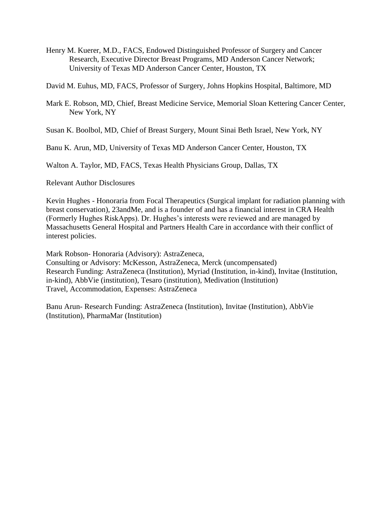Henry M. Kuerer, M.D., FACS, Endowed Distinguished Professor of Surgery and Cancer Research, Executive Director Breast Programs, MD Anderson Cancer Network; University of Texas MD Anderson Cancer Center, Houston, TX

David M. Euhus, MD, FACS, Professor of Surgery, Johns Hopkins Hospital, Baltimore, MD

Mark E. Robson, MD, Chief, Breast Medicine Service, Memorial Sloan Kettering Cancer Center, New York, NY

Susan K. Boolbol, MD, Chief of Breast Surgery, Mount Sinai Beth Israel, New York, NY

Banu K. Arun, MD, University of Texas MD Anderson Cancer Center, Houston, TX

Walton A. Taylor, MD, FACS, Texas Health Physicians Group, Dallas, TX

Relevant Author Disclosures

Kevin Hughes - Honoraria from Focal Therapeutics (Surgical implant for radiation planning with breast conservation), 23andMe, and is a founder of and has a financial interest in CRA Health (Formerly Hughes RiskApps). Dr. Hughes's interests were reviewed and are managed by Massachusetts General Hospital and Partners Health Care in accordance with their conflict of interest policies.

Mark Robson- Honoraria (Advisory): AstraZeneca, Consulting or Advisory: McKesson, AstraZeneca, Merck (uncompensated)

Research Funding: AstraZeneca (Institution), Myriad (Institution, in-kind), Invitae (Institution, in-kind), AbbVie (institution), Tesaro (institution), Medivation (Institution) Travel, Accommodation, Expenses: AstraZeneca

Banu Arun- Research Funding: AstraZeneca (Institution), Invitae (Institution), AbbVie (Institution), PharmaMar (Institution)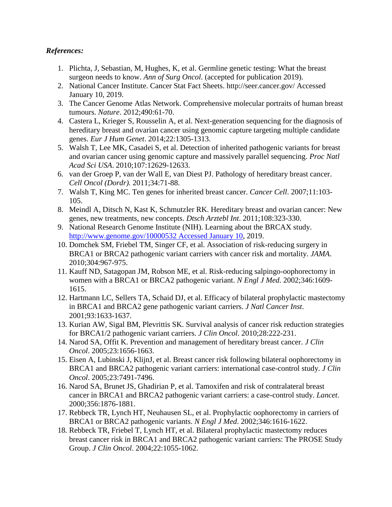## *References:*

- 1. Plichta, J, Sebastian, M, Hughes, K, et al. Germline genetic testing: What the breast surgeon needs to know. *Ann of Surg Oncol*. (accepted for publication 2019).
- 2. National Cancer Institute. Cancer Stat Fact Sheets. http://seer.cancer.gov/ Accessed January 10, 2019.
- 3. The Cancer Genome Atlas Network. Comprehensive molecular portraits of human breast tumours. *Nature*. 2012;490:61-70.
- 4. Castera L, Krieger S, Rousselin A, et al. Next-generation sequencing for the diagnosis of hereditary breast and ovarian cancer using genomic capture targeting multiple candidate genes. *Eur J Hum Genet*. 2014;22:1305-1313.
- 5. Walsh T, Lee MK, Casadei S, et al. Detection of inherited pathogenic variants for breast and ovarian cancer using genomic capture and massively parallel sequencing. *Proc Natl Acad Sci USA*. 2010;107:12629-12633.
- 6. van der Groep P, van der Wall E, van Diest PJ. Pathology of hereditary breast cancer. *Cell Oncol (Dordr).* 2011;34:71-88.
- 7. Walsh T, King MC. Ten genes for inherited breast cancer. *Cancer Cell*. 2007;11:103- 105.
- 8. Meindl A, Ditsch N, Kast K, Schmutzler RK. Hereditary breast and ovarian cancer: New genes, new treatments, new concepts. *Dtsch Arztebl Int*. 2011;108:323-330.
- 9. National Research Genome Institute (NIH). Learning about the BRCAX study. [http://www.genome.gov/10000532 Accessed January 10,](http://www.genome.gov/10000532%20Accessed%20January%2010) 2019.
- 10. Domchek SM, Friebel TM, Singer CF, et al. Association of risk-reducing surgery in BRCA1 or BRCA2 pathogenic variant carriers with cancer risk and mortality. *JAMA*. 2010;304:967-975.
- 11. Kauff ND, Satagopan JM, Robson ME, et al. Risk-reducing salpingo-oophorectomy in women with a BRCA1 or BRCA2 pathogenic variant. *N Engl J Med*. 2002;346:1609- 1615.
- 12. Hartmann LC, Sellers TA, Schaid DJ, et al. Efficacy of bilateral prophylactic mastectomy in BRCA1 and BRCA2 gene pathogenic variant carriers. *J Natl Cancer Inst*. 2001;93:1633-1637.
- 13. Kurian AW, Sigal BM, Plevrittis SK. Survival analysis of cancer risk reduction strategies for BRCA1/2 pathogenic variant carriers. *J Clin Oncol*. 2010;28:222-231.
- 14. Narod SA, Offit K. Prevention and management of hereditary breast cancer. *J Clin Oncol*. 2005;23:1656-1663.
- 15. Eisen A, Lubinski J, KlijnJ, et al. Breast cancer risk following bilateral oophorectomy in BRCA1 and BRCA2 pathogenic variant carriers: international case-control study. *J Clin Oncol*. 2005;23:7491-7496.
- 16. Narod SA, Brunet JS, Ghadirian P, et al. Tamoxifen and risk of contralateral breast cancer in BRCA1 and BRCA2 pathogenic variant carriers: a case-control study. *Lancet*. 2000;356:1876-1881.
- 17. Rebbeck TR, Lynch HT, Neuhausen SL, et al. Prophylactic oophorectomy in carriers of BRCA1 or BRCA2 pathogenic variants. *N Engl J Med*. 2002;346:1616-1622.
- 18. Rebbeck TR, Friebel T, Lynch HT, et al. Bilateral prophylactic mastectomy reduces breast cancer risk in BRCA1 and BRCA2 pathogenic variant carriers: The PROSE Study Group. *J Clin Oncol*. 2004;22:1055-1062.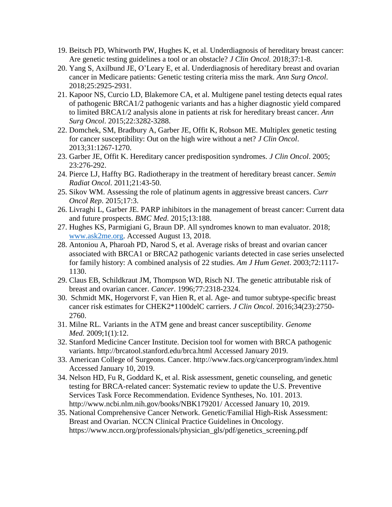- 19. Beitsch PD, Whitworth PW, Hughes K, et al. Underdiagnosis of hereditary breast cancer: Are genetic testing guidelines a tool or an obstacle? *J Clin Oncol.* 2018;37:1-8.
- 20. Yang S, Axilbund JE, O'Leary E, et al. Underdiagnosis of hereditary breast and ovarian cancer in Medicare patients: Genetic testing criteria miss the mark. *Ann Surg Oncol*. 2018;25:2925-2931.
- 21. Kapoor NS, Curcio LD, Blakemore CA, et al. Multigene panel testing detects equal rates of pathogenic BRCA1/2 pathogenic variants and has a higher diagnostic yield compared to limited BRCA1/2 analysis alone in patients at risk for hereditary breast cancer. *Ann Surg Oncol*. 2015;22:3282-3288.
- 22. Domchek, SM, Bradbury A, Garber JE, Offit K, Robson ME. Multiplex genetic testing for cancer susceptibility: Out on the high wire without a net? *J Clin Oncol*. 2013;31:1267-1270.
- 23. Garber JE, Offit K. Hereditary cancer predisposition syndromes. *J Clin Oncol*. 2005; 23:276-292.
- 24. Pierce LJ, Haffty BG. Radiotherapy in the treatment of hereditary breast cancer. *Semin Radiat Oncol*. 2011;21:43-50.
- 25. Sikov WM. Assessing the role of platinum agents in aggressive breast cancers. *Curr Oncol Rep*. 2015;17:3.
- 26. Livraghi L, Garber JE. PARP inhibitors in the management of breast cancer: Current data and future prospects. *BMC Med*. 2015;13:188.
- 27. Hughes KS, Parmigiani G, Braun DP. All syndromes known to man evaluator. 2018; [www.ask2me.org.](about:blank) Accessed August 13, 2018.
- 28. Antoniou A, Pharoah PD, Narod S, et al. Average risks of breast and ovarian cancer associated with BRCA1 or BRCA2 pathogenic variants detected in case series unselected for family history: A combined analysis of 22 studies. *Am J Hum Genet*. 2003;72:1117- 1130.
- 29. Claus EB, Schildkraut JM, Thompson WD, Risch NJ. The genetic attributable risk of breast and ovarian cancer. *Cancer*. 1996;77:2318-2324.
- 30. [Schmidt MK, Hogervorst F, van Hien R, et al. Age-](https://www.ncbi.nlm.nih.gov/pubmed/27269948) and tumor subtype-specific breast [cancer risk estimates for CHEK2\\*1100delC carriers.](https://www.ncbi.nlm.nih.gov/pubmed/27269948) *J Clin Oncol*. 2016;34(23):2750- [2760.](https://www.ncbi.nlm.nih.gov/pubmed/27269948)
- 31. Milne RL. Variants in the ATM gene and breast cancer susceptibility. *Genome Med.* 2009;1(1):12.
- 32. Stanford Medicine Cancer Institute. Decision tool for women with BRCA pathogenic variants. http://brcatool.stanford.edu/brca.html Accessed January 2019.
- 33. American College of Surgeons. Cancer. http://www.facs.org/cancerprogram/index.html Accessed January 10, 2019.
- 34. Nelson HD, Fu R, Goddard K, et al. Risk assessment, genetic counseling, and genetic testing for BRCA-related cancer: Systematic review to update the U.S. Preventive Services Task Force Recommendation. Evidence Syntheses, No. 101. 2013. http://www.ncbi.nlm.nih.gov/books/NBK179201/ Accessed January 10, 2019.
- 35. National Comprehensive Cancer Network. Genetic/Familial High-Risk Assessment: Breast and Ovarian. NCCN Clinical Practice Guidelines in Oncology. https://www.nccn.org/professionals/physician\_gls/pdf/genetics\_screening.pdf